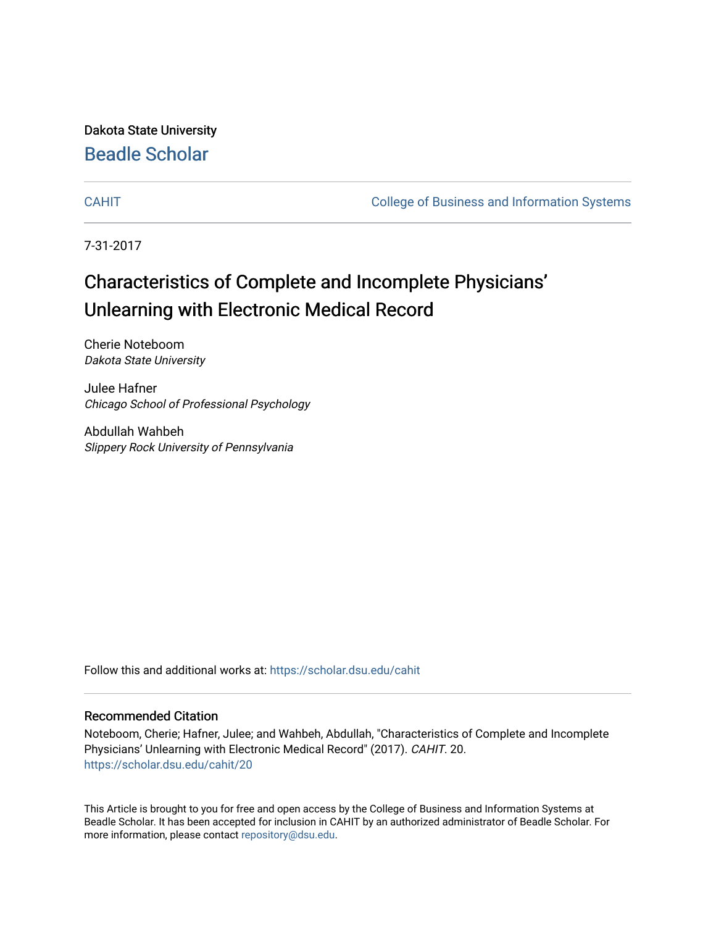Dakota State University [Beadle Scholar](https://scholar.dsu.edu/)

[CAHIT](https://scholar.dsu.edu/cahit) [College of Business and Information Systems](https://scholar.dsu.edu/biscollege) 

7-31-2017

## Characteristics of Complete and Incomplete Physicians' Unlearning with Electronic Medical Record

Cherie Noteboom Dakota State University

Julee Hafner Chicago School of Professional Psychology

Abdullah Wahbeh Slippery Rock University of Pennsylvania

Follow this and additional works at: [https://scholar.dsu.edu/cahit](https://scholar.dsu.edu/cahit?utm_source=scholar.dsu.edu%2Fcahit%2F20&utm_medium=PDF&utm_campaign=PDFCoverPages) 

#### Recommended Citation

Noteboom, Cherie; Hafner, Julee; and Wahbeh, Abdullah, "Characteristics of Complete and Incomplete Physicians' Unlearning with Electronic Medical Record" (2017). CAHIT. 20. [https://scholar.dsu.edu/cahit/20](https://scholar.dsu.edu/cahit/20?utm_source=scholar.dsu.edu%2Fcahit%2F20&utm_medium=PDF&utm_campaign=PDFCoverPages) 

This Article is brought to you for free and open access by the College of Business and Information Systems at Beadle Scholar. It has been accepted for inclusion in CAHIT by an authorized administrator of Beadle Scholar. For more information, please contact [repository@dsu.edu.](mailto:repository@dsu.edu)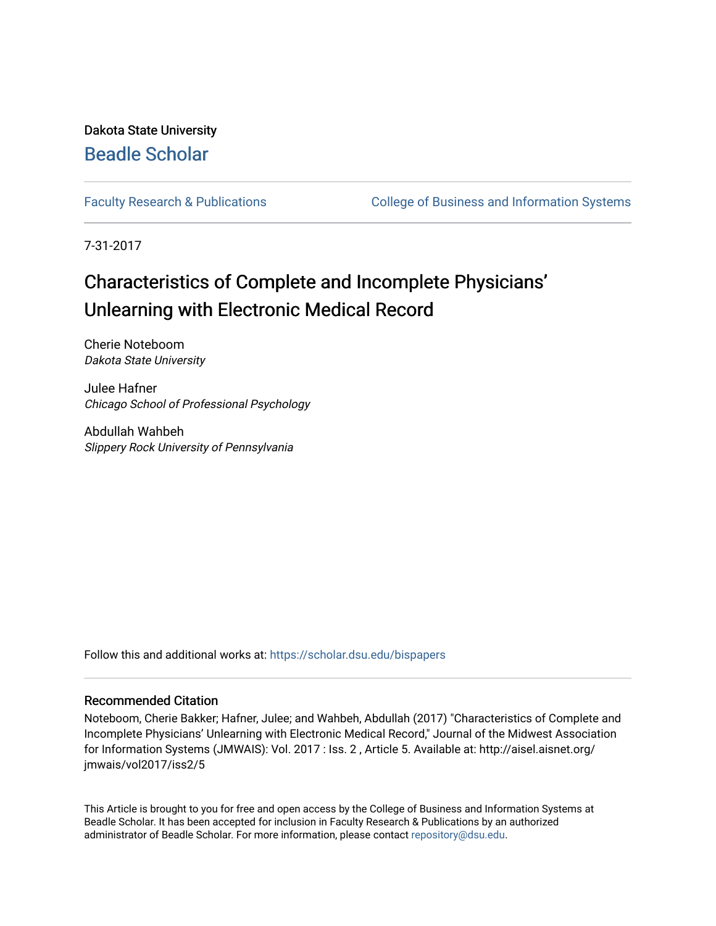Dakota State University [Beadle Scholar](https://scholar.dsu.edu/)

[Faculty Research & Publications](https://scholar.dsu.edu/bispapers) **College of Business and Information Systems** 

7-31-2017

## Characteristics of Complete and Incomplete Physicians' Unlearning with Electronic Medical Record

Cherie Noteboom Dakota State University

Julee Hafner Chicago School of Professional Psychology

Abdullah Wahbeh Slippery Rock University of Pennsylvania

Follow this and additional works at: [https://scholar.dsu.edu/bispapers](https://scholar.dsu.edu/bispapers?utm_source=scholar.dsu.edu%2Fbispapers%2F47&utm_medium=PDF&utm_campaign=PDFCoverPages)

#### Recommended Citation

Noteboom, Cherie Bakker; Hafner, Julee; and Wahbeh, Abdullah (2017) "Characteristics of Complete and Incomplete Physicians' Unlearning with Electronic Medical Record," Journal of the Midwest Association for Information Systems (JMWAIS): Vol. 2017 : Iss. 2 , Article 5. Available at: http://aisel.aisnet.org/ jmwais/vol2017/iss2/5

This Article is brought to you for free and open access by the College of Business and Information Systems at Beadle Scholar. It has been accepted for inclusion in Faculty Research & Publications by an authorized administrator of Beadle Scholar. For more information, please contact [repository@dsu.edu.](mailto:repository@dsu.edu)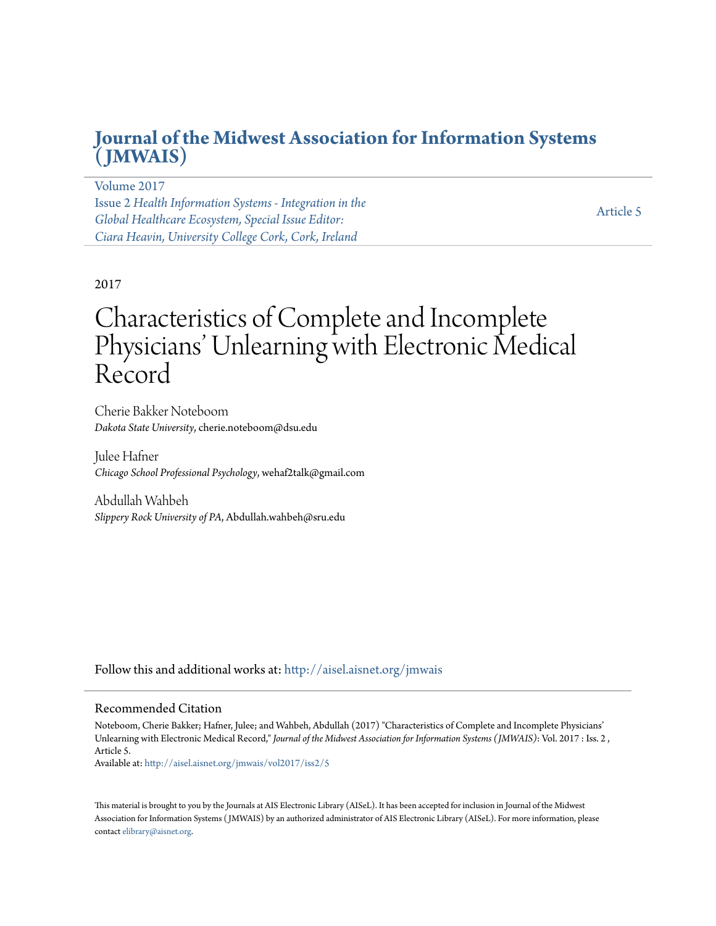### **[Journal of the Midwest Association for Information Systems](http://aisel.aisnet.org/jmwais?utm_source=aisel.aisnet.org%2Fjmwais%2Fvol2017%2Fiss2%2F5&utm_medium=PDF&utm_campaign=PDFCoverPages) [\(JMWAIS\)](http://aisel.aisnet.org/jmwais?utm_source=aisel.aisnet.org%2Fjmwais%2Fvol2017%2Fiss2%2F5&utm_medium=PDF&utm_campaign=PDFCoverPages)**

[Volume 2017](http://aisel.aisnet.org/jmwais/vol2017?utm_source=aisel.aisnet.org%2Fjmwais%2Fvol2017%2Fiss2%2F5&utm_medium=PDF&utm_campaign=PDFCoverPages) Issue 2 *[Health Information Systems - Integration in the](http://aisel.aisnet.org/jmwais/vol2017/iss2?utm_source=aisel.aisnet.org%2Fjmwais%2Fvol2017%2Fiss2%2F5&utm_medium=PDF&utm_campaign=PDFCoverPages) [Global Healthcare Ecosystem, Special Issue Editor:](http://aisel.aisnet.org/jmwais/vol2017/iss2?utm_source=aisel.aisnet.org%2Fjmwais%2Fvol2017%2Fiss2%2F5&utm_medium=PDF&utm_campaign=PDFCoverPages) [Ciara Heavin, University College Cork, Cork, Ireland](http://aisel.aisnet.org/jmwais/vol2017/iss2?utm_source=aisel.aisnet.org%2Fjmwais%2Fvol2017%2Fiss2%2F5&utm_medium=PDF&utm_campaign=PDFCoverPages)*

[Article 5](http://aisel.aisnet.org/jmwais/vol2017/iss2/5?utm_source=aisel.aisnet.org%2Fjmwais%2Fvol2017%2Fiss2%2F5&utm_medium=PDF&utm_campaign=PDFCoverPages)

#### 2017

# Characteristics of Complete and Incomplete Physicians' Unlearning with Electronic Medical Record

Cherie Bakker Noteboom *Dakota State University*, cherie.noteboom@dsu.edu

Julee Hafner *Chicago School Professional Psychology*, wehaf2talk@gmail.com

Abdullah Wahbeh *Slippery Rock University of PA*, Abdullah.wahbeh@sru.edu

Follow this and additional works at: [http://aisel.aisnet.org/jmwais](http://aisel.aisnet.org/jmwais?utm_source=aisel.aisnet.org%2Fjmwais%2Fvol2017%2Fiss2%2F5&utm_medium=PDF&utm_campaign=PDFCoverPages)

#### Recommended Citation

Noteboom, Cherie Bakker; Hafner, Julee; and Wahbeh, Abdullah (2017) "Characteristics of Complete and Incomplete Physicians' Unlearning with Electronic Medical Record," *Journal of the Midwest Association for Information Systems (JMWAIS)*: Vol. 2017 : Iss. 2 , Article 5.

Available at: [http://aisel.aisnet.org/jmwais/vol2017/iss2/5](http://aisel.aisnet.org/jmwais/vol2017/iss2/5?utm_source=aisel.aisnet.org%2Fjmwais%2Fvol2017%2Fiss2%2F5&utm_medium=PDF&utm_campaign=PDFCoverPages)

This material is brought to you by the Journals at AIS Electronic Library (AISeL). It has been accepted for inclusion in Journal of the Midwest Association for Information Systems ( JMWAIS) by an authorized administrator of AIS Electronic Library (AISeL). For more information, please contact [elibrary@aisnet.org.](mailto:elibrary@aisnet.org%3E)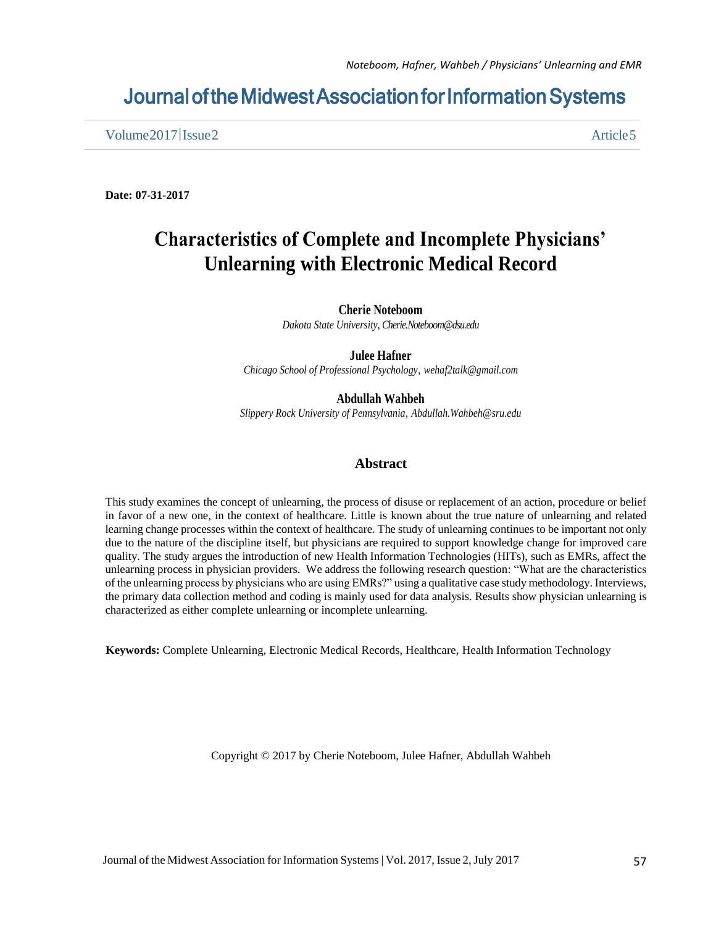### Journal of the Midwest Association for Information Systems

Volume 2017 | Issue 2 Article 5

**Date: 07-31-2017**

### **Characteristics of Complete and Incomplete Physicians' Unlearning with Electronic Medical Record**

#### **Cherie Noteboom**

*Dakota State University, Cherie.Noteboom@dsu.edu*

#### **Julee Hafner**

*Chicago School of Professional Psychology, wehaf2talk@gmail.com* 

**Abdullah Wahbeh**

*Slippery Rock University of Pennsylvania, Abdullah.Wahbeh@sru.edu*

#### **Abstract**

This study examines the concept of unlearning, the process of disuse or replacement of an action, procedure or belief in favor of a new one, in the context of healthcare. Little is known about the true nature of unlearning and related learning change processes within the context of healthcare. The study of unlearning continues to be important not only due to the nature of the discipline itself, but physicians are required to support knowledge change for improved care quality. The study argues the introduction of new Health Information Technologies (HITs), such as EMRs, affect the unlearning process in physician providers. We address the following research question: "What are the characteristics of the unlearning process by physicians who are using EMRs?" using a qualitative case study methodology. Interviews, the primary data collection method and coding is mainly used for data analysis. Results show physician unlearning is characterized as either complete unlearning or incomplete unlearning.

**Keywords:** Complete Unlearning, Electronic Medical Records, Healthcare, Health Information Technology

Copyright © 2017 by Cherie Noteboom, Julee Hafner, Abdullah Wahbeh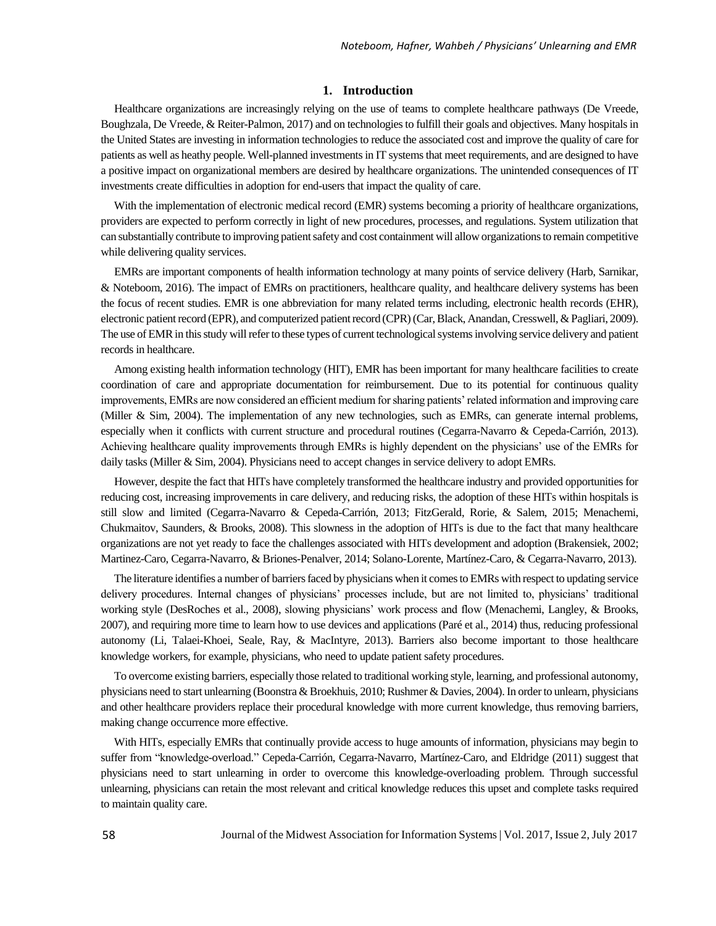#### **1. Introduction**

 Healthcare organizations are increasingly relying on the use of teams to complete healthcare pathways (De Vreede, Boughzala, De Vreede, & Reiter-Palmon, 2017) and on technologies to fulfill their goals and objectives. Many hospitals in the United States are investing in information technologies to reduce the associated cost and improve the quality of care for patients as well as heathy people. Well-planned investments in IT systems that meet requirements, and are designed to have a positive impact on organizational members are desired by healthcare organizations. The unintended consequences of IT investments create difficulties in adoption for end-users that impact the quality of care.

With the implementation of electronic medical record (EMR) systems becoming a priority of healthcare organizations, providers are expected to perform correctly in light of new procedures, processes, and regulations. System utilization that can substantially contribute to improving patient safety and cost containment will allow organizations to remain competitive while delivering quality services.

 EMRs are important components of health information technology at many points of service delivery (Harb, Sarnikar, & Noteboom, 2016). The impact of EMRs on practitioners, healthcare quality, and healthcare delivery systems has been the focus of recent studies. EMR is one abbreviation for many related terms including, electronic health records (EHR), electronic patient record (EPR), and computerized patient record (CPR) (Car, Black, Anandan, Cresswell, & Pagliari, 2009). The use of EMR in this study will refer to these types of current technological systems involving service delivery and patient records in healthcare.

 Among existing health information technology (HIT), EMR has been important for many healthcare facilities to create coordination of care and appropriate documentation for reimbursement. Due to its potential for continuous quality improvements, EMRs are now considered an efficient medium for sharing patients' related information and improving care (Miller & Sim, 2004). The implementation of any new technologies, such as EMRs, can generate internal problems, especially when it conflicts with current structure and procedural routines (Cegarra-Navarro & Cepeda-Carrión, 2013). Achieving healthcare quality improvements through EMRs is highly dependent on the physicians' use of the EMRs for daily tasks (Miller & Sim, 2004). Physicians need to accept changes in service delivery to adopt EMRs.

 However, despite the fact that HITs have completely transformed the healthcare industry and provided opportunities for reducing cost, increasing improvements in care delivery, and reducing risks, the adoption of these HITs within hospitals is still slow and limited (Cegarra-Navarro & Cepeda-Carrión, 2013; FitzGerald, Rorie, & Salem, 2015; Menachemi, Chukmaitov, Saunders, & Brooks, 2008). This slowness in the adoption of HITs is due to the fact that many healthcare organizations are not yet ready to face the challenges associated with HITs development and adoption (Brakensiek, 2002; Martinez-Caro, Cegarra-Navarro, & Briones-Penalver, 2014; Solano-Lorente, Martínez-Caro, & Cegarra-Navarro, 2013).

 The literature identifies a number of barriers faced by physicians when it comes to EMRs with respect to updating service delivery procedures. Internal changes of physicians' processes include, but are not limited to, physicians' traditional working style (DesRoches et al., 2008), slowing physicians' work process and flow (Menachemi, Langley, & Brooks, 2007), and requiring more time to learn how to use devices and applications (Paré et al., 2014) thus, reducing professional autonomy (Li, Talaei-Khoei, Seale, Ray, & MacIntyre, 2013). Barriers also become important to those healthcare knowledge workers, for example, physicians, who need to update patient safety procedures.

 To overcome existing barriers, especially those related to traditional working style, learning, and professional autonomy, physicians need to start unlearning (Boonstra & Broekhuis, 2010; Rushmer & Davies, 2004). In order to unlearn, physicians and other healthcare providers replace their procedural knowledge with more current knowledge, thus removing barriers, making change occurrence more effective.

 With HITs, especially EMRs that continually provide access to huge amounts of information, physicians may begin to suffer from "knowledge-overload." Cepeda-Carrión, Cegarra-Navarro, Martínez-Caro, and Eldridge (2011) suggest that physicians need to start unlearning in order to overcome this knowledge-overloading problem. Through successful unlearning, physicians can retain the most relevant and critical knowledge reduces this upset and complete tasks required to maintain quality care.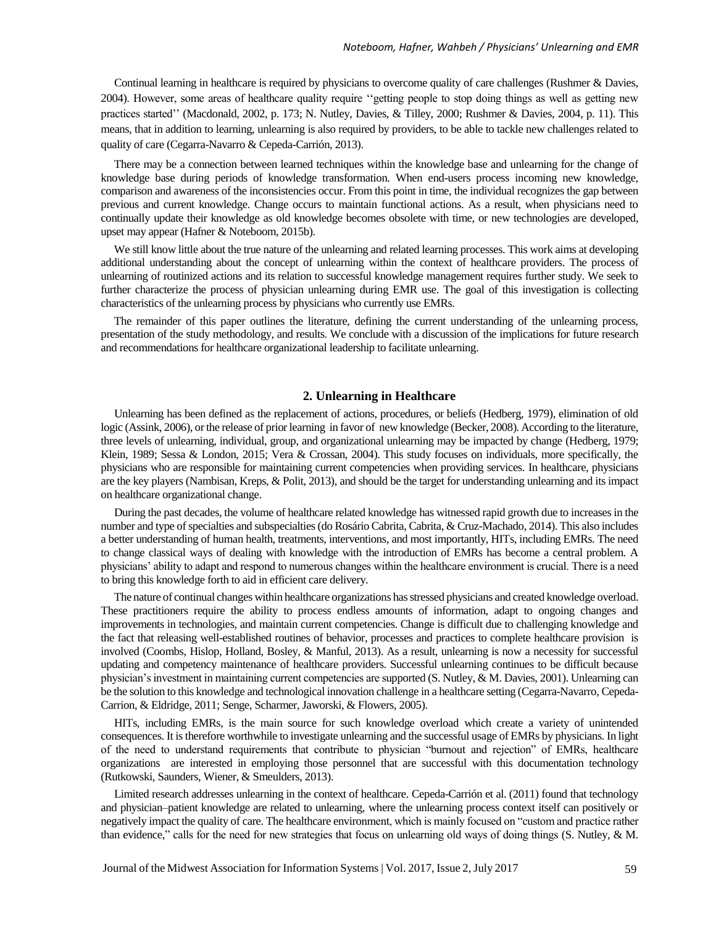Continual learning in healthcare is required by physicians to overcome quality of care challenges (Rushmer & Davies, 2004). However, some areas of healthcare quality require ''getting people to stop doing things as well as getting new practices started'' (Macdonald, 2002, p. 173; N. Nutley, Davies, & Tilley, 2000; Rushmer & Davies, 2004, p. 11). This means, that in addition to learning, unlearning is also required by providers, to be able to tackle new challenges related to quality of care (Cegarra-Navarro & Cepeda-Carrión, 2013).

 There may be a connection between learned techniques within the knowledge base and unlearning for the change of knowledge base during periods of knowledge transformation. When end-users process incoming new knowledge, comparison and awareness of the inconsistencies occur. From this point in time, the individual recognizes the gap between previous and current knowledge. Change occurs to maintain functional actions. As a result, when physicians need to continually update their knowledge as old knowledge becomes obsolete with time, or new technologies are developed, upset may appear (Hafner & Noteboom, 2015b).

 We still know little about the true nature of the unlearning and related learning processes. This work aims at developing additional understanding about the concept of unlearning within the context of healthcare providers. The process of unlearning of routinized actions and its relation to successful knowledge management requires further study. We seek to further characterize the process of physician unlearning during EMR use. The goal of this investigation is collecting characteristics of the unlearning process by physicians who currently use EMRs.

 The remainder of this paper outlines the literature, defining the current understanding of the unlearning process, presentation of the study methodology, and results. We conclude with a discussion of the implications for future research and recommendations for healthcare organizational leadership to facilitate unlearning.

#### **2. Unlearning in Healthcare**

 Unlearning has been defined as the replacement of actions, procedures, or beliefs (Hedberg, 1979), elimination of old logic (Assink, 2006), or the release of prior learning in favor of new knowledge (Becker, 2008). According to the literature, three levels of unlearning, individual, group, and organizational unlearning may be impacted by change (Hedberg, 1979; Klein, 1989; Sessa & London, 2015; Vera & Crossan, 2004). This study focuses on individuals, more specifically, the physicians who are responsible for maintaining current competencies when providing services. In healthcare, physicians are the key players (Nambisan, Kreps, & Polit, 2013), and should be the target for understanding unlearning and its impact on healthcare organizational change.

 During the past decades, the volume of healthcare related knowledge has witnessed rapid growth due to increases in the number and type of specialties and subspecialties (do Rosário Cabrita, Cabrita, & Cruz-Machado, 2014). This also includes a better understanding of human health, treatments, interventions, and most importantly, HITs, including EMRs. The need to change classical ways of dealing with knowledge with the introduction of EMRs has become a central problem. A physicians' ability to adapt and respond to numerous changes within the healthcare environment is crucial. There is a need to bring this knowledge forth to aid in efficient care delivery.

 The nature of continual changes within healthcare organizations has stressed physicians and created knowledge overload. These practitioners require the ability to process endless amounts of information, adapt to ongoing changes and improvements in technologies, and maintain current competencies. Change is difficult due to challenging knowledge and the fact that releasing well-established routines of behavior, processes and practices to complete healthcare provision is involved (Coombs, Hislop, Holland, Bosley, & Manful, 2013). As a result, unlearning is now a necessity for successful updating and competency maintenance of healthcare providers. Successful unlearning continues to be difficult because physician's investment in maintaining current competencies are supported (S. Nutley, & M. Davies, 2001). Unlearning can be the solution to this knowledge and technological innovation challenge in a healthcare setting (Cegarra-Navarro, Cepeda-Carrion, & Eldridge, 2011; Senge, Scharmer, Jaworski, & Flowers, 2005).

 HITs, including EMRs, is the main source for such knowledge overload which create a variety of unintended consequences. It is therefore worthwhile to investigate unlearning and the successful usage of EMRs by physicians. In light of the need to understand requirements that contribute to physician "burnout and rejection" of EMRs, healthcare organizations are interested in employing those personnel that are successful with this documentation technology (Rutkowski, Saunders, Wiener, & Smeulders, 2013).

 Limited research addresses unlearning in the context of healthcare. Cepeda-Carrión et al. (2011) found that technology and physician–patient knowledge are related to unlearning, where the unlearning process context itself can positively or negatively impact the quality of care. The healthcare environment, which is mainly focused on "custom and practice rather than evidence," calls for the need for new strategies that focus on unlearning old ways of doing things (S. Nutley, & M.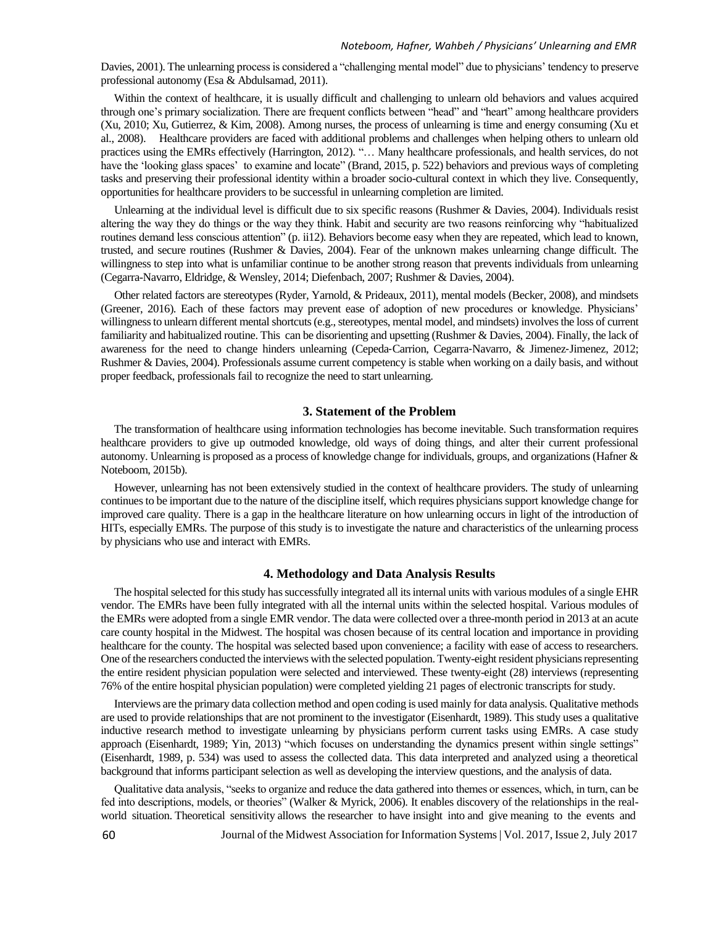Davies, 2001). The unlearning process is considered a "challenging mental model" due to physicians' tendency to preserve professional autonomy (Esa & Abdulsamad, 2011).

 Within the context of healthcare, it is usually difficult and challenging to unlearn old behaviors and values acquired through one's primary socialization. There are frequent conflicts between "head" and "heart" among healthcare providers (Xu, 2010; Xu, Gutierrez, & Kim, 2008). Among nurses, the process of unlearning is time and energy consuming (Xu et al., 2008). Healthcare providers are faced with additional problems and challenges when helping others to unlearn old practices using the EMRs effectively (Harrington, 2012). "... Many healthcare professionals, and health services, do not have the 'looking glass spaces' to examine and locate" (Brand, 2015, p. 522) behaviors and previous ways of completing tasks and preserving their professional identity within a broader socio-cultural context in which they live. Consequently, opportunities for healthcare providers to be successful in unlearning completion are limited.

Unlearning at the individual level is difficult due to six specific reasons (Rushmer & Davies, 2004). Individuals resist altering the way they do things or the way they think. Habit and security are two reasons reinforcing why "habitualized routines demand less conscious attention" (p. ii12). Behaviors become easy when they are repeated, which lead to known, trusted, and secure routines (Rushmer & Davies, 2004). Fear of the unknown makes unlearning change difficult. The willingness to step into what is unfamiliar continue to be another strong reason that prevents individuals from unlearning (Cegarra-Navarro, Eldridge, & Wensley, 2014; Diefenbach, 2007; Rushmer & Davies, 2004).

 Other related factors are stereotypes (Ryder, Yarnold, & Prideaux, 2011), mental models (Becker, 2008), and mindsets (Greener, 2016). Each of these factors may prevent ease of adoption of new procedures or knowledge. Physicians' willingness to unlearn different mental shortcuts (e.g., stereotypes, mental model, and mindsets) involves the loss of current familiarity and habitualized routine. This can be disorienting and upsetting (Rushmer & Davies, 2004). Finally, the lack of awareness for the need to change hinders unlearning (Cepeda‐Carrion, Cegarra‐Navarro, & Jimenez‐Jimenez, 2012; Rushmer & Davies, 2004). Professionals assume current competency is stable when working on a daily basis, and without proper feedback, professionals fail to recognize the need to start unlearning.

#### **3. Statement of the Problem**

 The transformation of healthcare using information technologies has become inevitable. Such transformation requires healthcare providers to give up outmoded knowledge, old ways of doing things, and alter their current professional autonomy. Unlearning is proposed as a process of knowledge change for individuals, groups, and organizations (Hafner & Noteboom, 2015b).

 However, unlearning has not been extensively studied in the context of healthcare providers. The study of unlearning continues to be important due to the nature of the discipline itself, which requires physicians support knowledge change for improved care quality. There is a gap in the healthcare literature on how unlearning occurs in light of the introduction of HITs, especially EMRs. The purpose of this study is to investigate the nature and characteristics of the unlearning process by physicians who use and interact with EMRs.

#### **4. Methodology and Data Analysis Results**

 The hospital selected for this study has successfully integrated all its internal units with various modules of a single EHR vendor. The EMRs have been fully integrated with all the internal units within the selected hospital. Various modules of the EMRs were adopted from a single EMR vendor. The data were collected over a three-month period in 2013 at an acute care county hospital in the Midwest. The hospital was chosen because of its central location and importance in providing healthcare for the county. The hospital was selected based upon convenience; a facility with ease of access to researchers. One of the researchers conducted the interviews with the selected population. Twenty-eight resident physicians representing the entire resident physician population were selected and interviewed. These twenty-eight (28) interviews (representing 76% of the entire hospital physician population) were completed yielding 21 pages of electronic transcripts for study.

 Interviews are the primary data collection method and open coding is used mainly for data analysis. Qualitative methods are used to provide relationships that are not prominent to the investigator (Eisenhardt, 1989). This study uses a qualitative inductive research method to investigate unlearning by physicians perform current tasks using EMRs. A case study approach (Eisenhardt, 1989; Yin, 2013) "which focuses on understanding the dynamics present within single settings" (Eisenhardt, 1989, p. 534) was used to assess the collected data. This data interpreted and analyzed using a theoretical background that informs participant selection as well as developing the interview questions, and the analysis of data.

 Qualitative data analysis, "seeks to organize and reduce the data gathered into themes or essences, which, in turn, can be fed into descriptions, models, or theories" (Walker & Myrick, 2006). It enables discovery of the relationships in the realworld situation. Theoretical sensitivity allows the researcher to have insight into and give meaning to the events and

Journal of the Midwest Association for Information Systems | Vol. 2017, Issue 2,July 2017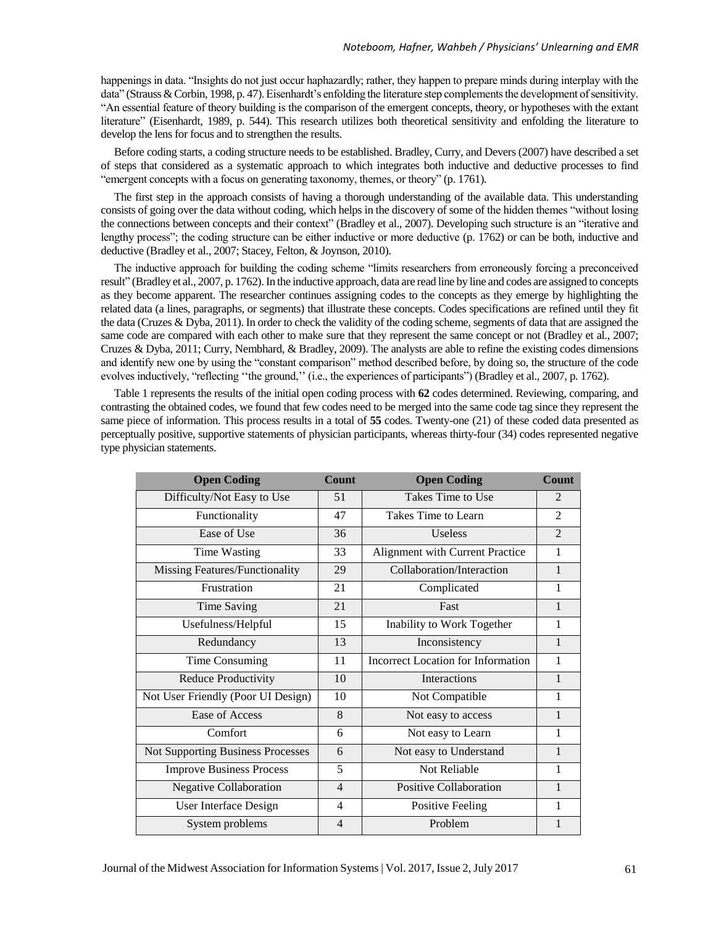happenings in data. "Insights do not just occur haphazardly; rather, they happen to prepare minds during interplay with the data" (Strauss & Corbin, 1998, p. 47). Eisenhardt's enfolding the literature step complements the development of sensitivity. "An essential feature of theory building is the comparison of the emergent concepts, theory, or hypotheses with the extant literature" (Eisenhardt, 1989, p. 544). This research utilizes both theoretical sensitivity and enfolding the literature to develop the lens for focus and to strengthen the results.

 Before coding starts, a coding structure needs to be established. Bradley, Curry, and Devers (2007) have described a set of steps that considered as a systematic approach to which integrates both inductive and deductive processes to find "emergent concepts with a focus on generating taxonomy, themes, or theory" (p. 1761).

 The first step in the approach consists of having a thorough understanding of the available data. This understanding consists of going over the data without coding, which helps in the discovery of some of the hidden themes "without losing the connections between concepts and their context" (Bradley et al., 2007). Developing such structure is an "iterative and lengthy process"; the coding structure can be either inductive or more deductive (p. 1762) or can be both, inductive and deductive (Bradley et al., 2007; Stacey, Felton, & Joynson, 2010).

 The inductive approach for building the coding scheme "limits researchers from erroneously forcing a preconceived result" (Bradley et al., 2007, p. 1762). In the inductive approach, data are read line by line and codes are assigned to concepts as they become apparent. The researcher continues assigning codes to the concepts as they emerge by highlighting the related data (a lines, paragraphs, or segments) that illustrate these concepts. Codes specifications are refined until they fit the data (Cruzes & Dyba, 2011). In order to check the validity of the coding scheme, segments of data that are assigned the same code are compared with each other to make sure that they represent the same concept or not (Bradley et al., 2007; Cruzes & Dyba, 2011; Curry, Nembhard, & Bradley, 2009). The analysts are able to refine the existing codes dimensions and identify new one by using the "constant comparison" method described before, by doing so, the structure of the code evolves inductively, "reflecting ''the ground,'' (i.e., the experiences of participants") (Bradley et al., 2007, p. 1762).

 Table 1 represents the results of the initial open coding process with **62** codes determined. Reviewing, comparing, and contrasting the obtained codes, we found that few codes need to be merged into the same code tag since they represent the same piece of information. This process results in a total of **55** codes. Twenty-one (21) of these coded data presented as perceptually positive, supportive statements of physician participants, whereas thirty-four (34) codes represented negative type physician statements.

| <b>Open Coding</b>                       | Count          | <b>Open Coding</b>                 | <b>Count</b>                |
|------------------------------------------|----------------|------------------------------------|-----------------------------|
| Difficulty/Not Easy to Use               | 51             | Takes Time to Use                  | $\mathcal{D}_{\mathcal{L}}$ |
| Functionality                            | 47             | Takes Time to Learn                | $\overline{2}$              |
| Ease of Use                              | 36             | <b>Useless</b>                     | $\mathfrak{D}$              |
| <b>Time Wasting</b>                      | 33             | Alignment with Current Practice    | 1                           |
| Missing Features/Functionality           | 29             | Collaboration/Interaction          | $\mathbf{1}$                |
| Frustration                              | 21             | Complicated                        | 1                           |
| <b>Time Saving</b>                       | 21             | Fast                               | $\mathbf{1}$                |
| Usefulness/Helpful                       | 15             | Inability to Work Together         | 1                           |
| Redundancy                               | 13             | Inconsistency                      | 1                           |
| Time Consuming                           | 11             | Incorrect Location for Information | 1                           |
| Reduce Productivity                      | 10             | <b>Interactions</b>                | $\mathbf{1}$                |
| Not User Friendly (Poor UI Design)       | 10             | Not Compatible                     | 1                           |
| Ease of Access                           | 8              | Not easy to access                 | $\mathbf{1}$                |
| Comfort                                  | 6              | Not easy to Learn                  | 1                           |
| <b>Not Supporting Business Processes</b> | 6              | Not easy to Understand             | $\mathbf{1}$                |
| <b>Improve Business Process</b>          | 5              | Not Reliable                       | 1                           |
| <b>Negative Collaboration</b>            | $\overline{4}$ | <b>Positive Collaboration</b>      | $\mathbf{1}$                |
| User Interface Design                    | 4              | <b>Positive Feeling</b>            | 1                           |
| System problems                          | $\overline{4}$ | Problem                            |                             |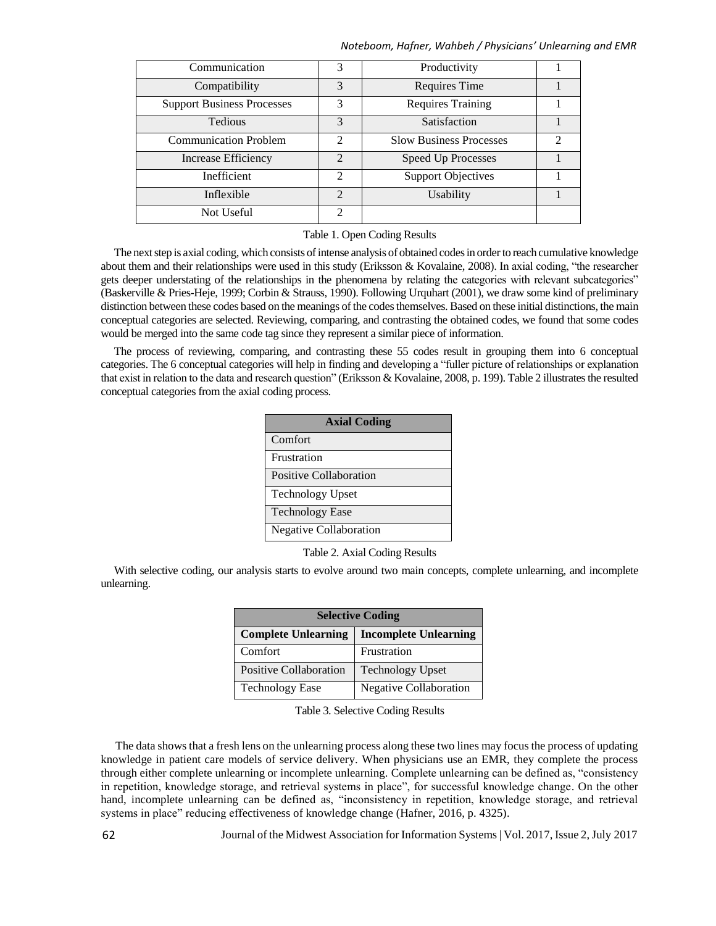#### *Noteboom, Hafner, Wahbeh / Physicians' Unlearning and EMR*

| Communication                     | 3                           | Productivity                   |               |
|-----------------------------------|-----------------------------|--------------------------------|---------------|
| Compatibility                     | 3                           | Requires Time                  |               |
| <b>Support Business Processes</b> | 3                           | <b>Requires Training</b>       |               |
| Tedious                           | $\mathcal{R}$               | Satisfaction                   |               |
| <b>Communication Problem</b>      | $\mathcal{D}_{\mathcal{A}}$ | <b>Slow Business Processes</b> | $\mathcal{D}$ |
| <b>Increase Efficiency</b>        | $\mathcal{D}$               | <b>Speed Up Processes</b>      |               |
| Inefficient                       | $\mathcal{D}_{\mathcal{L}}$ | <b>Support Objectives</b>      |               |
| Inflexible                        | $\mathcal{D}$               | Usability                      |               |
| Not Useful                        | $\mathcal{D}$               |                                |               |

#### Table 1. Open Coding Results

 The next step is axial coding, which consists of intense analysis of obtained codes in order to reach cumulative knowledge about them and their relationships were used in this study (Eriksson & Kovalaine, 2008). In axial coding, "the researcher gets deeper understating of the relationships in the phenomena by relating the categories with relevant subcategories" (Baskerville & Pries-Heje, 1999; Corbin & Strauss, 1990). Following Urquhart (2001), we draw some kind of preliminary distinction between these codes based on the meanings of the codes themselves. Based on these initial distinctions, the main conceptual categories are selected. Reviewing, comparing, and contrasting the obtained codes, we found that some codes would be merged into the same code tag since they represent a similar piece of information.

 The process of reviewing, comparing, and contrasting these 55 codes result in grouping them into 6 conceptual categories. The 6 conceptual categories will help in finding and developing a "fuller picture of relationships or explanation that exist in relation to the data and research question" (Eriksson & Kovalaine, 2008, p. 199). Table 2 illustrates the resulted conceptual categories from the axial coding process.

| <b>Axial Coding</b>     |  |  |
|-------------------------|--|--|
| Comfort                 |  |  |
| Frustration             |  |  |
| Positive Collaboration  |  |  |
| <b>Technology Upset</b> |  |  |
| <b>Technology Ease</b>  |  |  |
| Negative Collaboration  |  |  |

Table 2. Axial Coding Results

 With selective coding, our analysis starts to evolve around two main concepts, complete unlearning, and incomplete unlearning.

| <b>Selective Coding</b>    |                               |  |  |
|----------------------------|-------------------------------|--|--|
| <b>Complete Unlearning</b> | <b>Incomplete Unlearning</b>  |  |  |
| Comfort                    | Frustration                   |  |  |
| Positive Collaboration     | <b>Technology Upset</b>       |  |  |
| <b>Technology Ease</b>     | <b>Negative Collaboration</b> |  |  |

Table 3. Selective Coding Results

 The data shows that a fresh lens on the unlearning process along these two lines may focus the process of updating knowledge in patient care models of service delivery. When physicians use an EMR, they complete the process through either complete unlearning or incomplete unlearning. Complete unlearning can be defined as, "consistency in repetition, knowledge storage, and retrieval systems in place", for successful knowledge change. On the other hand, incomplete unlearning can be defined as, "inconsistency in repetition, knowledge storage, and retrieval systems in place" reducing effectiveness of knowledge change (Hafner, 2016, p. 4325).

Journal of the Midwest Association for Information Systems | Vol. 2017, Issue 2,July 2017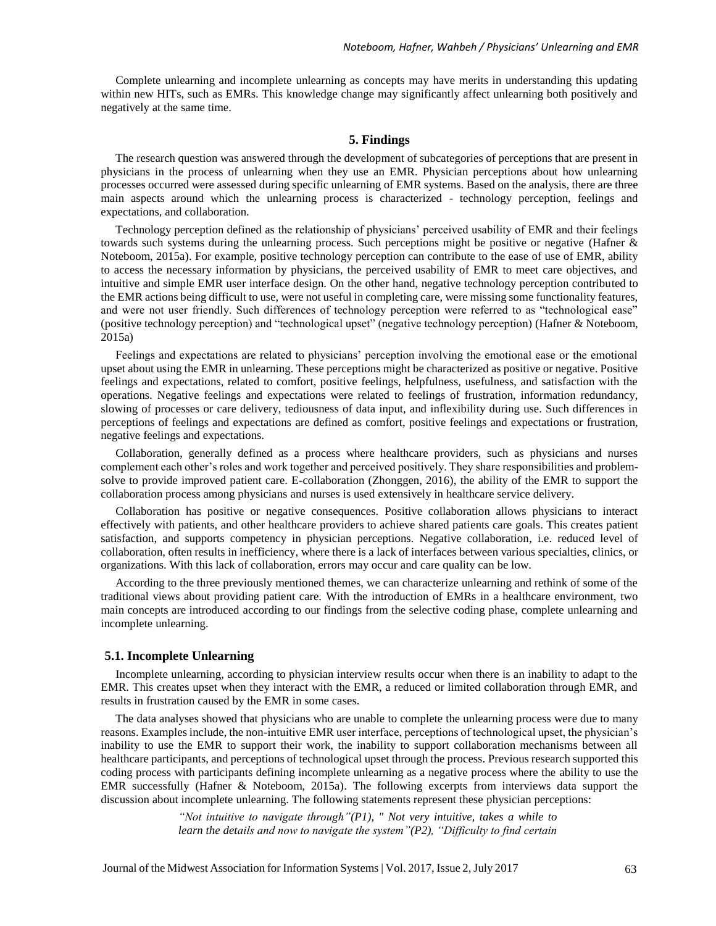Complete unlearning and incomplete unlearning as concepts may have merits in understanding this updating within new HITs, such as EMRs. This knowledge change may significantly affect unlearning both positively and negatively at the same time.

#### **5. Findings**

 The research question was answered through the development of subcategories of perceptions that are present in physicians in the process of unlearning when they use an EMR. Physician perceptions about how unlearning processes occurred were assessed during specific unlearning of EMR systems. Based on the analysis, there are three main aspects around which the unlearning process is characterized - technology perception, feelings and expectations, and collaboration.

 Technology perception defined as the relationship of physicians' perceived usability of EMR and their feelings towards such systems during the unlearning process. Such perceptions might be positive or negative (Hafner & Noteboom, 2015a). For example, positive technology perception can contribute to the ease of use of EMR, ability to access the necessary information by physicians, the perceived usability of EMR to meet care objectives, and intuitive and simple EMR user interface design. On the other hand, negative technology perception contributed to the EMR actions being difficult to use, were not useful in completing care, were missing some functionality features, and were not user friendly. Such differences of technology perception were referred to as "technological ease" (positive technology perception) and "technological upset" (negative technology perception) (Hafner & Noteboom, 2015a)

 Feelings and expectations are related to physicians' perception involving the emotional ease or the emotional upset about using the EMR in unlearning. These perceptions might be characterized as positive or negative. Positive feelings and expectations, related to comfort, positive feelings, helpfulness, usefulness, and satisfaction with the operations. Negative feelings and expectations were related to feelings of frustration, information redundancy, slowing of processes or care delivery, tediousness of data input, and inflexibility during use. Such differences in perceptions of feelings and expectations are defined as comfort, positive feelings and expectations or frustration, negative feelings and expectations.

 Collaboration, generally defined as a process where healthcare providers, such as physicians and nurses complement each other's roles and work together and perceived positively. They share responsibilities and problemsolve to provide improved patient care. E-collaboration (Zhonggen, 2016), the ability of the EMR to support the collaboration process among physicians and nurses is used extensively in healthcare service delivery.

 Collaboration has positive or negative consequences. Positive collaboration allows physicians to interact effectively with patients, and other healthcare providers to achieve shared patients care goals. This creates patient satisfaction, and supports competency in physician perceptions. Negative collaboration, i.e. reduced level of collaboration, often results in inefficiency, where there is a lack of interfaces between various specialties, clinics, or organizations. With this lack of collaboration, errors may occur and care quality can be low.

 According to the three previously mentioned themes, we can characterize unlearning and rethink of some of the traditional views about providing patient care. With the introduction of EMRs in a healthcare environment, two main concepts are introduced according to our findings from the selective coding phase, complete unlearning and incomplete unlearning.

#### **5.1. Incomplete Unlearning**

 Incomplete unlearning, according to physician interview results occur when there is an inability to adapt to the EMR. This creates upset when they interact with the EMR, a reduced or limited collaboration through EMR, and results in frustration caused by the EMR in some cases.

 The data analyses showed that physicians who are unable to complete the unlearning process were due to many reasons. Examples include, the non-intuitive EMR user interface, perceptions of technological upset, the physician's inability to use the EMR to support their work, the inability to support collaboration mechanisms between all healthcare participants, and perceptions of technological upset through the process. Previous research supported this coding process with participants defining incomplete unlearning as a negative process where the ability to use the EMR successfully (Hafner & Noteboom, 2015a). The following excerpts from interviews data support the discussion about incomplete unlearning. The following statements represent these physician perceptions:

> *"Not intuitive to navigate through"(P1), " Not very intuitive, takes a while to learn the details and now to navigate the system"(P2), "Difficulty to find certain*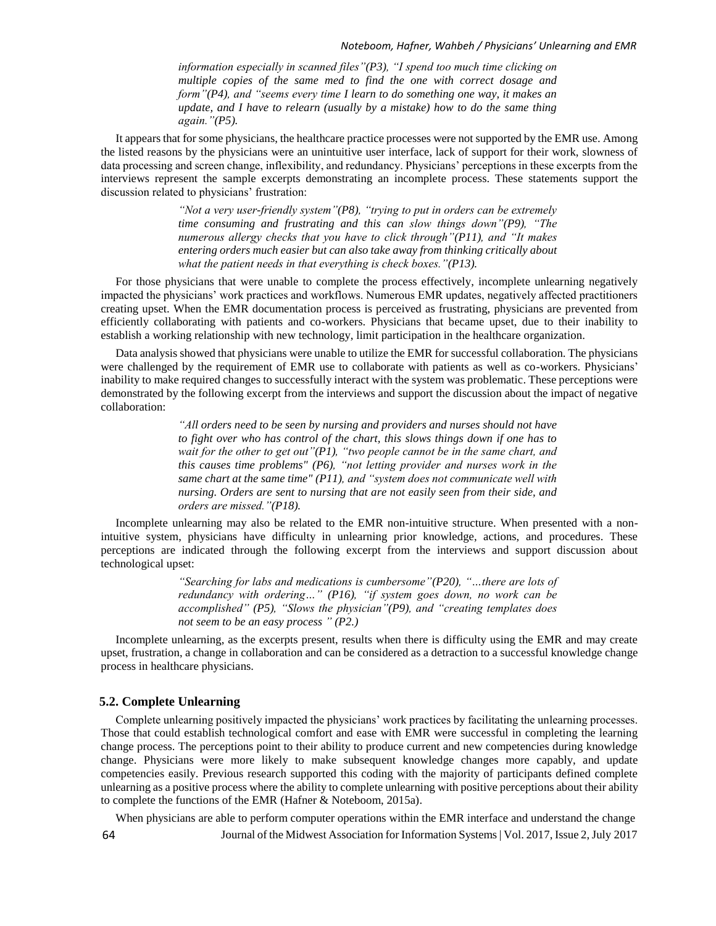*information especially in scanned files"(P3), "I spend too much time clicking on multiple copies of the same med to find the one with correct dosage and form"(P4), and "seems every time I learn to do something one way, it makes an update, and I have to relearn (usually by a mistake) how to do the same thing again."(P5).* 

 It appears that for some physicians, the healthcare practice processes were not supported by the EMR use. Among the listed reasons by the physicians were an unintuitive user interface, lack of support for their work, slowness of data processing and screen change, inflexibility, and redundancy. Physicians' perceptions in these excerpts from the interviews represent the sample excerpts demonstrating an incomplete process. These statements support the discussion related to physicians' frustration:

> *"Not a very user-friendly system"(P8), "trying to put in orders can be extremely time consuming and frustrating and this can slow things down"(P9), "The numerous allergy checks that you have to click through"(P11), and "It makes entering orders much easier but can also take away from thinking critically about what the patient needs in that everything is check boxes."(P13).*

 For those physicians that were unable to complete the process effectively, incomplete unlearning negatively impacted the physicians' work practices and workflows. Numerous EMR updates, negatively affected practitioners creating upset. When the EMR documentation process is perceived as frustrating, physicians are prevented from efficiently collaborating with patients and co-workers. Physicians that became upset, due to their inability to establish a working relationship with new technology, limit participation in the healthcare organization.

 Data analysis showed that physicians were unable to utilize the EMR for successful collaboration. The physicians were challenged by the requirement of EMR use to collaborate with patients as well as co-workers. Physicians' inability to make required changes to successfully interact with the system was problematic. These perceptions were demonstrated by the following excerpt from the interviews and support the discussion about the impact of negative collaboration:

> *"All orders need to be seen by nursing and providers and nurses should not have to fight over who has control of the chart, this slows things down if one has to wait for the other to get out"(P1), "two people cannot be in the same chart, and this causes time problems" (P6), "not letting provider and nurses work in the same chart at the same time" (P11), and "system does not communicate well with nursing. Orders are sent to nursing that are not easily seen from their side, and orders are missed."(P18).*

 Incomplete unlearning may also be related to the EMR non-intuitive structure. When presented with a nonintuitive system, physicians have difficulty in unlearning prior knowledge, actions, and procedures. These perceptions are indicated through the following excerpt from the interviews and support discussion about technological upset:

> *"Searching for labs and medications is cumbersome"(P20), "…there are lots of redundancy with ordering…" (P16), "if system goes down, no work can be accomplished" (P5), "Slows the physician"(P9), and "creating templates does not seem to be an easy process " (P2.)*

 Incomplete unlearning, as the excerpts present, results when there is difficulty using the EMR and may create upset, frustration, a change in collaboration and can be considered as a detraction to a successful knowledge change process in healthcare physicians.

#### **5.2. Complete Unlearning**

 Complete unlearning positively impacted the physicians' work practices by facilitating the unlearning processes. Those that could establish technological comfort and ease with EMR were successful in completing the learning change process. The perceptions point to their ability to produce current and new competencies during knowledge change. Physicians were more likely to make subsequent knowledge changes more capably, and update competencies easily. Previous research supported this coding with the majority of participants defined complete unlearning as a positive process where the ability to complete unlearning with positive perceptions about their ability to complete the functions of the EMR (Hafner & Noteboom, 2015a).

Journal of the Midwest Association for Information Systems | Vol. 2017, Issue 2,July 2017 When physicians are able to perform computer operations within the EMR interface and understand the change

64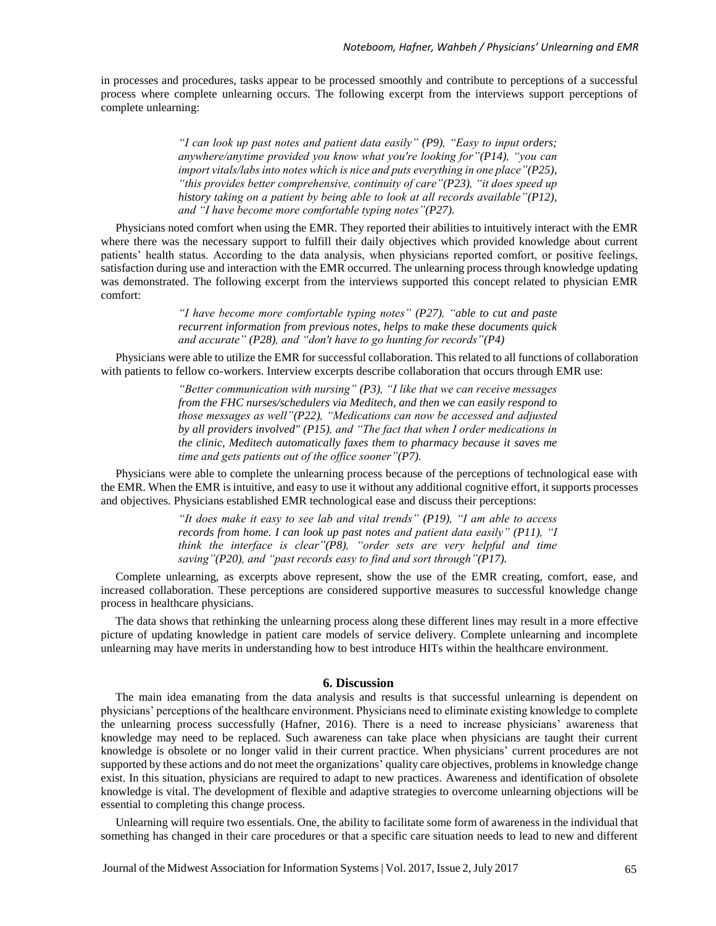in processes and procedures, tasks appear to be processed smoothly and contribute to perceptions of a successful process where complete unlearning occurs. The following excerpt from the interviews support perceptions of complete unlearning:

> *"I can look up past notes and patient data easily" (P9), "Easy to input orders; anywhere/anytime provided you know what you're looking for"(P14), "you can import vitals/labs into notes which is nice and puts everything in one place"(P25), "this provides better comprehensive, continuity of care"(P23), "it does speed up history taking on a patient by being able to look at all records available"(P12), and "I have become more comfortable typing notes"(P27).*

 Physicians noted comfort when using the EMR. They reported their abilities to intuitively interact with the EMR where there was the necessary support to fulfill their daily objectives which provided knowledge about current patients' health status. According to the data analysis, when physicians reported comfort, or positive feelings, satisfaction during use and interaction with the EMR occurred. The unlearning process through knowledge updating was demonstrated. The following excerpt from the interviews supported this concept related to physician EMR comfort:

> *"I have become more comfortable typing notes" (P27), "able to cut and paste recurrent information from previous notes, helps to make these documents quick and accurate" (P28), and "don't have to go hunting for records"(P4)*

 Physicians were able to utilize the EMR for successful collaboration. This related to all functions of collaboration with patients to fellow co-workers. Interview excerpts describe collaboration that occurs through EMR use:

> *"Better communication with nursing" (P3), "I like that we can receive messages from the FHC nurses/schedulers via Meditech, and then we can easily respond to those messages as well"(P22), "Medications can now be accessed and adjusted by all providers involved" (P15), and "The fact that when I order medications in the clinic, Meditech automatically faxes them to pharmacy because it saves me time and gets patients out of the office sooner"(P7).*

 Physicians were able to complete the unlearning process because of the perceptions of technological ease with the EMR. When the EMR is intuitive, and easy to use it without any additional cognitive effort, it supports processes and objectives. Physicians established EMR technological ease and discuss their perceptions:

> *"It does make it easy to see lab and vital trends" (P19), "I am able to access records from home. I can look up past notes and patient data easily" (P11), "I think the interface is clear"(P8), "order sets are very helpful and time saving"(P20), and "past records easy to find and sort through"(P17).*

 Complete unlearning, as excerpts above represent, show the use of the EMR creating, comfort, ease, and increased collaboration. These perceptions are considered supportive measures to successful knowledge change process in healthcare physicians.

 The data shows that rethinking the unlearning process along these different lines may result in a more effective picture of updating knowledge in patient care models of service delivery. Complete unlearning and incomplete unlearning may have merits in understanding how to best introduce HITs within the healthcare environment.

#### **6. Discussion**

 The main idea emanating from the data analysis and results is that successful unlearning is dependent on physicians' perceptions of the healthcare environment. Physicians need to eliminate existing knowledge to complete the unlearning process successfully (Hafner, 2016). There is a need to increase physicians' awareness that knowledge may need to be replaced. Such awareness can take place when physicians are taught their current knowledge is obsolete or no longer valid in their current practice. When physicians' current procedures are not supported by these actions and do not meet the organizations' quality care objectives, problems in knowledge change exist. In this situation, physicians are required to adapt to new practices. Awareness and identification of obsolete knowledge is vital. The development of flexible and adaptive strategies to overcome unlearning objections will be essential to completing this change process.

 Unlearning will require two essentials. One, the ability to facilitate some form of awareness in the individual that something has changed in their care procedures or that a specific care situation needs to lead to new and different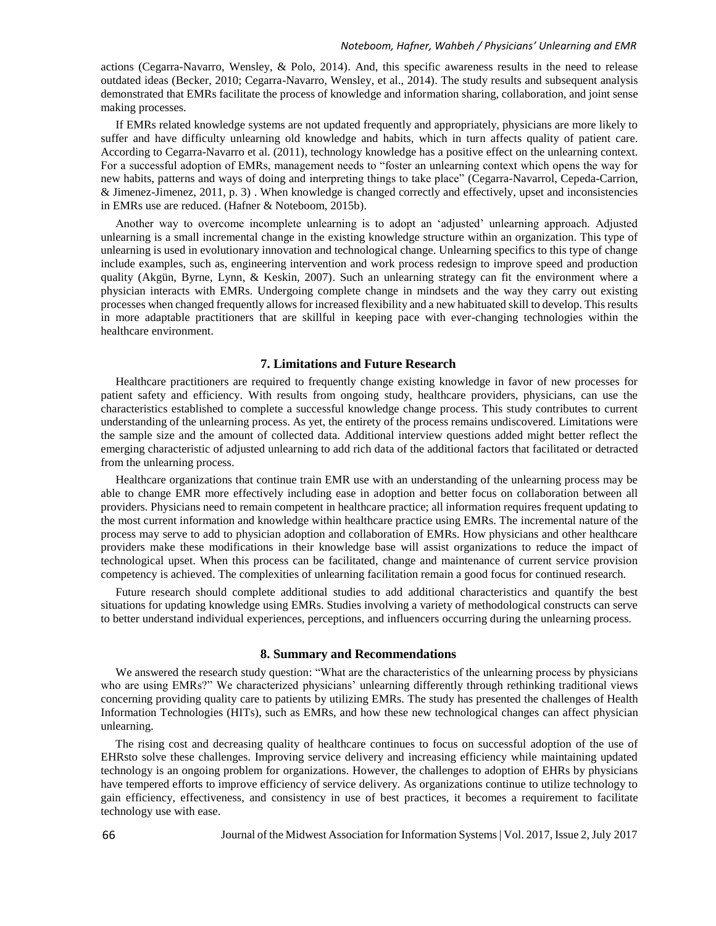#### *Noteboom, Hafner, Wahbeh / Physicians' Unlearning and EMR*

actions (Cegarra-Navarro, Wensley, & Polo, 2014). And, this specific awareness results in the need to release outdated ideas (Becker, 2010; Cegarra-Navarro, Wensley, et al., 2014). The study results and subsequent analysis demonstrated that EMRs facilitate the process of knowledge and information sharing, collaboration, and joint sense making processes.

 If EMRs related knowledge systems are not updated frequently and appropriately, physicians are more likely to suffer and have difficulty unlearning old knowledge and habits, which in turn affects quality of patient care. According to Cegarra-Navarro et al. (2011), technology knowledge has a positive effect on the unlearning context. For a successful adoption of EMRs, management needs to "foster an unlearning context which opens the way for new habits, patterns and ways of doing and interpreting things to take place" (Cegarra-Navarrol, Cepeda-Carrion, & Jimenez-Jimenez, 2011, p. 3) . When knowledge is changed correctly and effectively, upset and inconsistencies in EMRs use are reduced. (Hafner & Noteboom, 2015b).

 Another way to overcome incomplete unlearning is to adopt an 'adjusted' unlearning approach. Adjusted unlearning is a small incremental change in the existing knowledge structure within an organization. This type of unlearning is used in evolutionary innovation and technological change. Unlearning specifics to this type of change include examples, such as, engineering intervention and work process redesign to improve speed and production quality (Akgün, Byrne, Lynn, & Keskin, 2007). Such an unlearning strategy can fit the environment where a physician interacts with EMRs. Undergoing complete change in mindsets and the way they carry out existing processes when changed frequently allows for increased flexibility and a new habituated skill to develop. This results in more adaptable practitioners that are skillful in keeping pace with ever-changing technologies within the healthcare environment.

#### **7. Limitations and Future Research**

 Healthcare practitioners are required to frequently change existing knowledge in favor of new processes for patient safety and efficiency. With results from ongoing study, healthcare providers, physicians, can use the characteristics established to complete a successful knowledge change process. This study contributes to current understanding of the unlearning process. As yet, the entirety of the process remains undiscovered. Limitations were the sample size and the amount of collected data. Additional interview questions added might better reflect the emerging characteristic of adjusted unlearning to add rich data of the additional factors that facilitated or detracted from the unlearning process.

 Healthcare organizations that continue train EMR use with an understanding of the unlearning process may be able to change EMR more effectively including ease in adoption and better focus on collaboration between all providers. Physicians need to remain competent in healthcare practice; all information requires frequent updating to the most current information and knowledge within healthcare practice using EMRs. The incremental nature of the process may serve to add to physician adoption and collaboration of EMRs. How physicians and other healthcare providers make these modifications in their knowledge base will assist organizations to reduce the impact of technological upset. When this process can be facilitated, change and maintenance of current service provision competency is achieved. The complexities of unlearning facilitation remain a good focus for continued research.

 Future research should complete additional studies to add additional characteristics and quantify the best situations for updating knowledge using EMRs. Studies involving a variety of methodological constructs can serve to better understand individual experiences, perceptions, and influencers occurring during the unlearning process.

#### **8. Summary and Recommendations**

We answered the research study question: "What are the characteristics of the unlearning process by physicians who are using EMRs?" We characterized physicians' unlearning differently through rethinking traditional views concerning providing quality care to patients by utilizing EMRs. The study has presented the challenges of Health Information Technologies (HITs), such as EMRs, and how these new technological changes can affect physician unlearning.

 The rising cost and decreasing quality of healthcare continues to focus on successful adoption of the use of EHRsto solve these challenges. Improving service delivery and increasing efficiency while maintaining updated technology is an ongoing problem for organizations. However, the challenges to adoption of EHRs by physicians have tempered efforts to improve efficiency of service delivery. As organizations continue to utilize technology to gain efficiency, effectiveness, and consistency in use of best practices, it becomes a requirement to facilitate technology use with ease.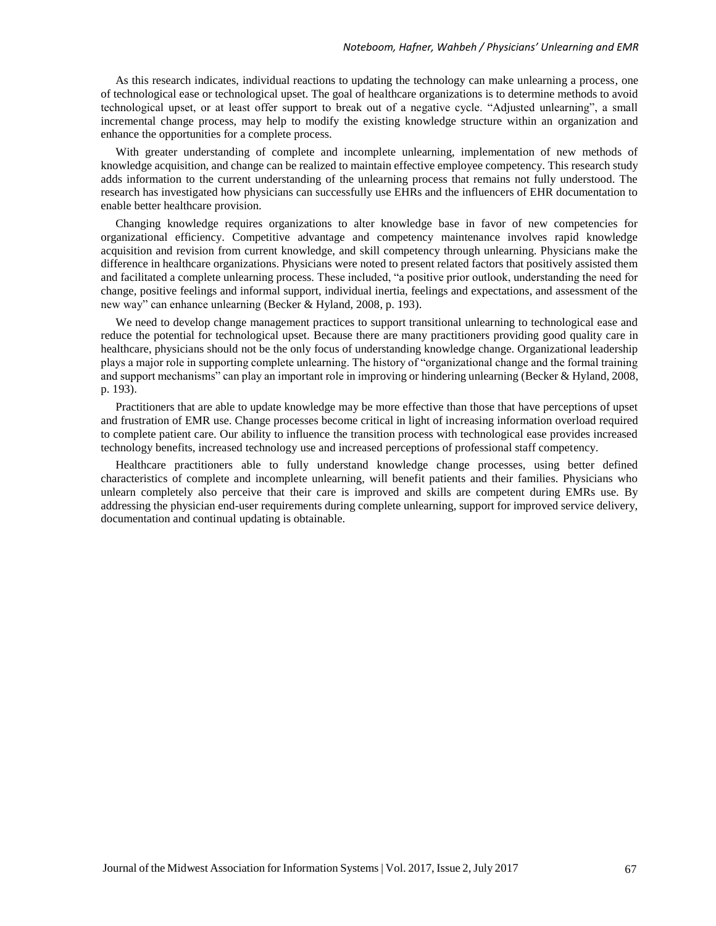As this research indicates, individual reactions to updating the technology can make unlearning a process, one of technological ease or technological upset. The goal of healthcare organizations is to determine methods to avoid technological upset, or at least offer support to break out of a negative cycle. "Adjusted unlearning", a small incremental change process, may help to modify the existing knowledge structure within an organization and enhance the opportunities for a complete process.

 With greater understanding of complete and incomplete unlearning, implementation of new methods of knowledge acquisition, and change can be realized to maintain effective employee competency. This research study adds information to the current understanding of the unlearning process that remains not fully understood. The research has investigated how physicians can successfully use EHRs and the influencers of EHR documentation to enable better healthcare provision.

 Changing knowledge requires organizations to alter knowledge base in favor of new competencies for organizational efficiency. Competitive advantage and competency maintenance involves rapid knowledge acquisition and revision from current knowledge, and skill competency through unlearning. Physicians make the difference in healthcare organizations. Physicians were noted to present related factors that positively assisted them and facilitated a complete unlearning process. These included, "a positive prior outlook, understanding the need for change, positive feelings and informal support, individual inertia, feelings and expectations, and assessment of the new way" can enhance unlearning (Becker & Hyland, 2008, p. 193).

 We need to develop change management practices to support transitional unlearning to technological ease and reduce the potential for technological upset. Because there are many practitioners providing good quality care in healthcare, physicians should not be the only focus of understanding knowledge change. Organizational leadership plays a major role in supporting complete unlearning. The history of "organizational change and the formal training and support mechanisms" can play an important role in improving or hindering unlearning (Becker & Hyland, 2008, p. 193).

Practitioners that are able to update knowledge may be more effective than those that have perceptions of upset and frustration of EMR use. Change processes become critical in light of increasing information overload required to complete patient care. Our ability to influence the transition process with technological ease provides increased technology benefits, increased technology use and increased perceptions of professional staff competency.

 Healthcare practitioners able to fully understand knowledge change processes, using better defined characteristics of complete and incomplete unlearning, will benefit patients and their families. Physicians who unlearn completely also perceive that their care is improved and skills are competent during EMRs use. By addressing the physician end-user requirements during complete unlearning, support for improved service delivery, documentation and continual updating is obtainable.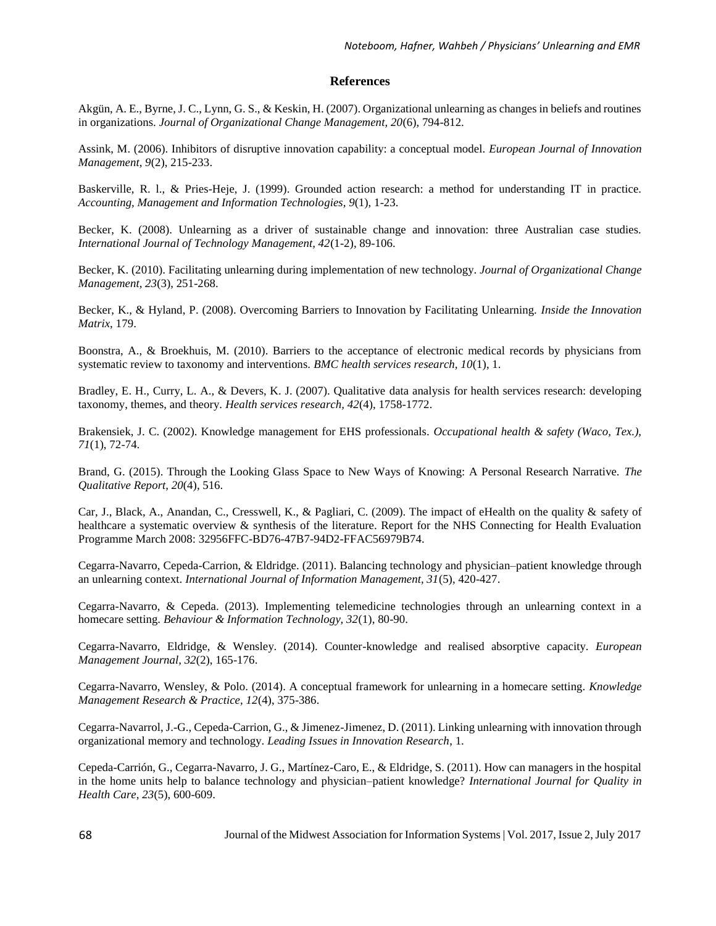#### **References**

Akgün, A. E., Byrne, J. C., Lynn, G. S., & Keskin, H. (2007). Organizational unlearning as changes in beliefs and routines in organizations. *Journal of Organizational Change Management, 20*(6), 794-812.

Assink, M. (2006). Inhibitors of disruptive innovation capability: a conceptual model. *European Journal of Innovation Management, 9*(2), 215-233.

Baskerville, R. l., & Pries-Heje, J. (1999). Grounded action research: a method for understanding IT in practice. *Accounting, Management and Information Technologies, 9*(1), 1-23.

Becker, K. (2008). Unlearning as a driver of sustainable change and innovation: three Australian case studies. *International Journal of Technology Management, 42*(1-2), 89-106.

Becker, K. (2010). Facilitating unlearning during implementation of new technology. *Journal of Organizational Change Management, 23*(3), 251-268.

Becker, K., & Hyland, P. (2008). Overcoming Barriers to Innovation by Facilitating Unlearning. *Inside the Innovation Matrix*, 179.

Boonstra, A., & Broekhuis, M. (2010). Barriers to the acceptance of electronic medical records by physicians from systematic review to taxonomy and interventions. *BMC health services research, 10*(1), 1.

Bradley, E. H., Curry, L. A., & Devers, K. J. (2007). Qualitative data analysis for health services research: developing taxonomy, themes, and theory. *Health services research, 42*(4), 1758-1772.

Brakensiek, J. C. (2002). Knowledge management for EHS professionals. *Occupational health & safety (Waco, Tex.), 71*(1), 72-74.

Brand, G. (2015). Through the Looking Glass Space to New Ways of Knowing: A Personal Research Narrative. *The Qualitative Report, 20*(4), 516.

Car, J., Black, A., Anandan, C., Cresswell, K., & Pagliari, C. (2009). The impact of eHealth on the quality & safety of healthcare a systematic overview & synthesis of the literature. Report for the NHS Connecting for Health Evaluation Programme March 2008: 32956FFC-BD76-47B7-94D2-FFAC56979B74.

Cegarra-Navarro, Cepeda-Carrion, & Eldridge. (2011). Balancing technology and physician–patient knowledge through an unlearning context. *International Journal of Information Management, 31*(5), 420-427.

Cegarra-Navarro, & Cepeda. (2013). Implementing telemedicine technologies through an unlearning context in a homecare setting. *Behaviour & Information Technology, 32*(1), 80-90.

Cegarra-Navarro, Eldridge, & Wensley. (2014). Counter-knowledge and realised absorptive capacity. *European Management Journal, 32*(2), 165-176.

Cegarra-Navarro, Wensley, & Polo. (2014). A conceptual framework for unlearning in a homecare setting. *Knowledge Management Research & Practice, 12*(4), 375-386.

Cegarra-Navarrol, J.-G., Cepeda-Carrion, G., & Jimenez-Jimenez, D. (2011). Linking unlearning with innovation through organizational memory and technology. *Leading Issues in Innovation Research*, 1.

Cepeda-Carrión, G., Cegarra-Navarro, J. G., Martínez-Caro, E., & Eldridge, S. (2011). How can managers in the hospital in the home units help to balance technology and physician–patient knowledge? *International Journal for Quality in Health Care, 23*(5), 600-609.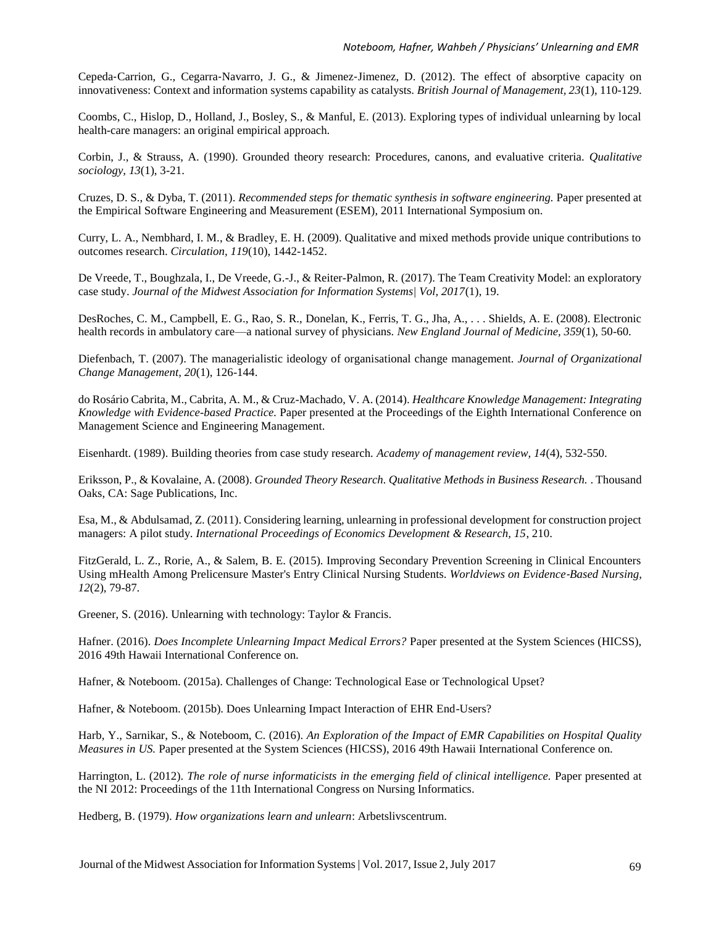Cepeda‐Carrion, G., Cegarra‐Navarro, J. G., & Jimenez‐Jimenez, D. (2012). The effect of absorptive capacity on innovativeness: Context and information systems capability as catalysts. *British Journal of Management, 23*(1), 110-129.

Coombs, C., Hislop, D., Holland, J., Bosley, S., & Manful, E. (2013). Exploring types of individual unlearning by local health-care managers: an original empirical approach.

Corbin, J., & Strauss, A. (1990). Grounded theory research: Procedures, canons, and evaluative criteria. *Qualitative sociology, 13*(1), 3-21.

Cruzes, D. S., & Dyba, T. (2011). *Recommended steps for thematic synthesis in software engineering.* Paper presented at the Empirical Software Engineering and Measurement (ESEM), 2011 International Symposium on.

Curry, L. A., Nembhard, I. M., & Bradley, E. H. (2009). Qualitative and mixed methods provide unique contributions to outcomes research. *Circulation, 119*(10), 1442-1452.

De Vreede, T., Boughzala, I., De Vreede, G.-J., & Reiter-Palmon, R. (2017). The Team Creativity Model: an exploratory case study. *Journal of the Midwest Association for Information Systems| Vol, 2017*(1), 19.

DesRoches, C. M., Campbell, E. G., Rao, S. R., Donelan, K., Ferris, T. G., Jha, A., . . . Shields, A. E. (2008). Electronic health records in ambulatory care—a national survey of physicians. *New England Journal of Medicine, 359*(1), 50-60.

Diefenbach, T. (2007). The managerialistic ideology of organisational change management. *Journal of Organizational Change Management, 20*(1), 126-144.

do Rosário Cabrita, M., Cabrita, A. M., & Cruz-Machado, V. A. (2014). *Healthcare Knowledge Management: Integrating Knowledge with Evidence-based Practice.* Paper presented at the Proceedings of the Eighth International Conference on Management Science and Engineering Management.

Eisenhardt. (1989). Building theories from case study research. *Academy of management review, 14*(4), 532-550.

Eriksson, P., & Kovalaine, A. (2008). *Grounded Theory Research. Qualitative Methods in Business Research.* . Thousand Oaks, CA: Sage Publications, Inc.

Esa, M., & Abdulsamad, Z. (2011). Considering learning, unlearning in professional development for construction project managers: A pilot study. *International Proceedings of Economics Development & Research, 15*, 210.

FitzGerald, L. Z., Rorie, A., & Salem, B. E. (2015). Improving Secondary Prevention Screening in Clinical Encounters Using mHealth Among Prelicensure Master's Entry Clinical Nursing Students. *Worldviews on Evidence*‐*Based Nursing, 12*(2), 79-87.

Greener, S. (2016). Unlearning with technology: Taylor & Francis.

Hafner. (2016). *Does Incomplete Unlearning Impact Medical Errors?* Paper presented at the System Sciences (HICSS), 2016 49th Hawaii International Conference on.

Hafner, & Noteboom. (2015a). Challenges of Change: Technological Ease or Technological Upset?

Hafner, & Noteboom. (2015b). Does Unlearning Impact Interaction of EHR End-Users?

Harb, Y., Sarnikar, S., & Noteboom, C. (2016). *An Exploration of the Impact of EMR Capabilities on Hospital Quality Measures in US.* Paper presented at the System Sciences (HICSS), 2016 49th Hawaii International Conference on.

Harrington, L. (2012). *The role of nurse informaticists in the emerging field of clinical intelligence.* Paper presented at the NI 2012: Proceedings of the 11th International Congress on Nursing Informatics.

Hedberg, B. (1979). *How organizations learn and unlearn*: Arbetslivscentrum.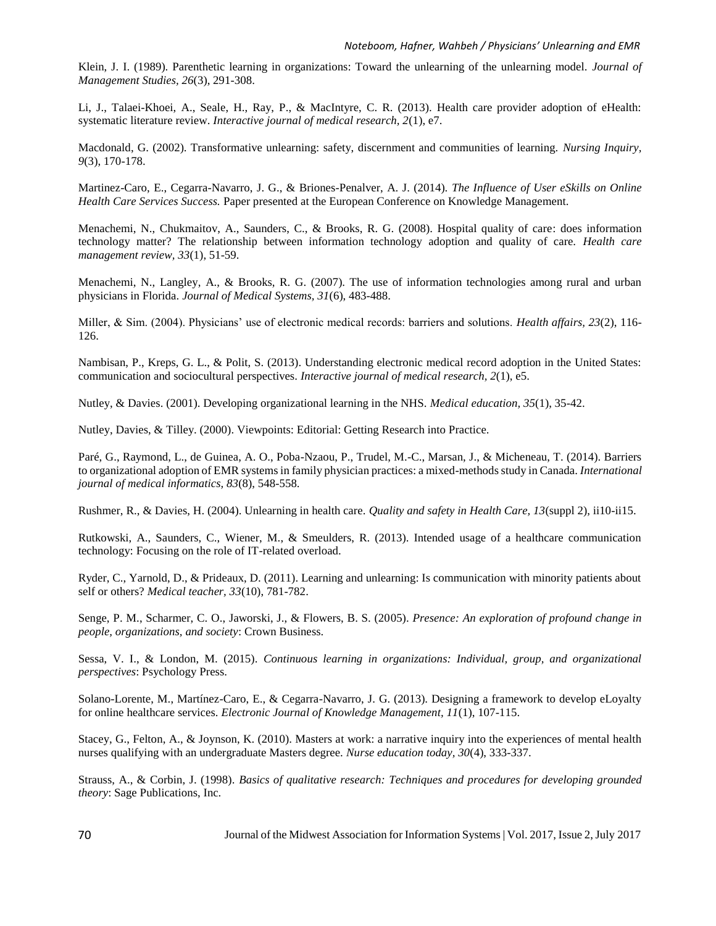Klein, J. I. (1989). Parenthetic learning in organizations: Toward the unlearning of the unlearning model. *Journal of Management Studies, 26*(3), 291-308.

Li, J., Talaei-Khoei, A., Seale, H., Ray, P., & MacIntyre, C. R. (2013). Health care provider adoption of eHealth: systematic literature review. *Interactive journal of medical research, 2*(1), e7.

Macdonald, G. (2002). Transformative unlearning: safety, discernment and communities of learning. *Nursing Inquiry, 9*(3), 170-178.

Martinez-Caro, E., Cegarra-Navarro, J. G., & Briones-Penalver, A. J. (2014). *The Influence of User eSkills on Online Health Care Services Success.* Paper presented at the European Conference on Knowledge Management.

Menachemi, N., Chukmaitov, A., Saunders, C., & Brooks, R. G. (2008). Hospital quality of care: does information technology matter? The relationship between information technology adoption and quality of care. *Health care management review, 33*(1), 51-59.

Menachemi, N., Langley, A., & Brooks, R. G. (2007). The use of information technologies among rural and urban physicians in Florida. *Journal of Medical Systems, 31*(6), 483-488.

Miller, & Sim. (2004). Physicians' use of electronic medical records: barriers and solutions. *Health affairs, 23*(2), 116- 126.

Nambisan, P., Kreps, G. L., & Polit, S. (2013). Understanding electronic medical record adoption in the United States: communication and sociocultural perspectives. *Interactive journal of medical research, 2*(1), e5.

Nutley, & Davies. (2001). Developing organizational learning in the NHS. *Medical education, 35*(1), 35-42.

Nutley, Davies, & Tilley. (2000). Viewpoints: Editorial: Getting Research into Practice.

Paré, G., Raymond, L., de Guinea, A. O., Poba-Nzaou, P., Trudel, M.-C., Marsan, J., & Micheneau, T. (2014). Barriers to organizational adoption of EMR systems in family physician practices: a mixed-methods study in Canada. *International journal of medical informatics, 83*(8), 548-558.

Rushmer, R., & Davies, H. (2004). Unlearning in health care. *Quality and safety in Health Care, 13*(suppl 2), ii10-ii15.

Rutkowski, A., Saunders, C., Wiener, M., & Smeulders, R. (2013). Intended usage of a healthcare communication technology: Focusing on the role of IT-related overload.

Ryder, C., Yarnold, D., & Prideaux, D. (2011). Learning and unlearning: Is communication with minority patients about self or others? *Medical teacher, 33*(10), 781-782.

Senge, P. M., Scharmer, C. O., Jaworski, J., & Flowers, B. S. (2005). *Presence: An exploration of profound change in people, organizations, and society*: Crown Business.

Sessa, V. I., & London, M. (2015). *Continuous learning in organizations: Individual, group, and organizational perspectives*: Psychology Press.

Solano-Lorente, M., Martínez-Caro, E., & Cegarra-Navarro, J. G. (2013). Designing a framework to develop eLoyalty for online healthcare services. *Electronic Journal of Knowledge Management, 11*(1), 107-115.

Stacey, G., Felton, A., & Joynson, K. (2010). Masters at work: a narrative inquiry into the experiences of mental health nurses qualifying with an undergraduate Masters degree. *Nurse education today, 30*(4), 333-337.

Strauss, A., & Corbin, J. (1998). *Basics of qualitative research: Techniques and procedures for developing grounded theory*: Sage Publications, Inc.

Journal of the Midwest Association for Information Systems | Vol. 2017, Issue 2,July 2017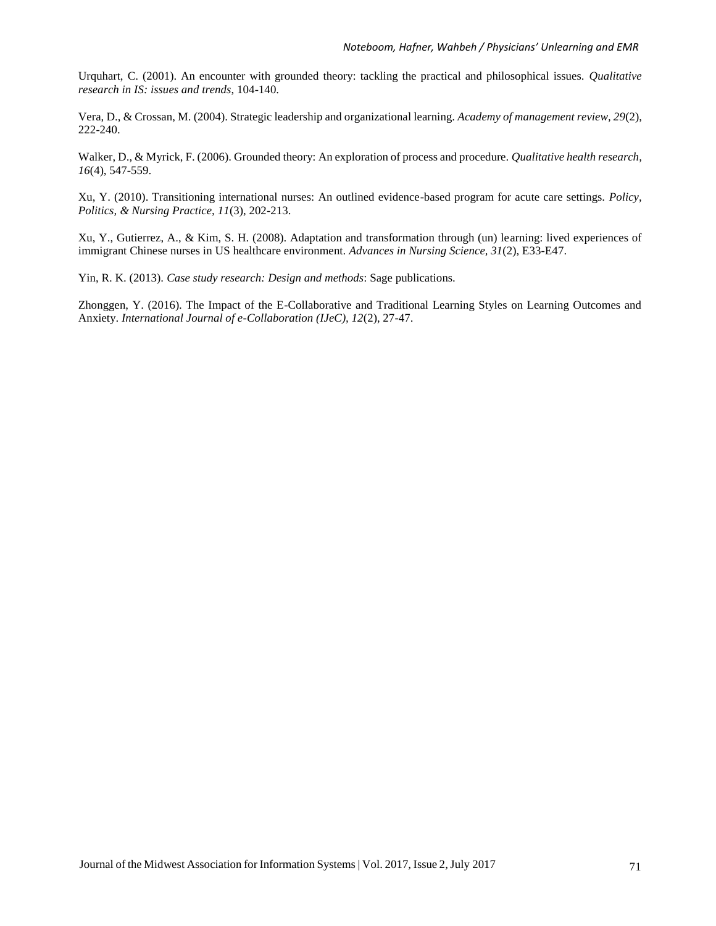Urquhart, C. (2001). An encounter with grounded theory: tackling the practical and philosophical issues. *Qualitative research in IS: issues and trends*, 104-140.

Vera, D., & Crossan, M. (2004). Strategic leadership and organizational learning. *Academy of management review, 29*(2), 222-240.

Walker, D., & Myrick, F. (2006). Grounded theory: An exploration of process and procedure. *Qualitative health research, 16*(4), 547-559.

Xu, Y. (2010). Transitioning international nurses: An outlined evidence-based program for acute care settings. *Policy, Politics, & Nursing Practice, 11*(3), 202-213.

Xu, Y., Gutierrez, A., & Kim, S. H. (2008). Adaptation and transformation through (un) learning: lived experiences of immigrant Chinese nurses in US healthcare environment. *Advances in Nursing Science, 31*(2), E33-E47.

Yin, R. K. (2013). *Case study research: Design and methods*: Sage publications.

Zhonggen, Y. (2016). The Impact of the E-Collaborative and Traditional Learning Styles on Learning Outcomes and Anxiety. *International Journal of e-Collaboration (IJeC), 12*(2), 27-47.